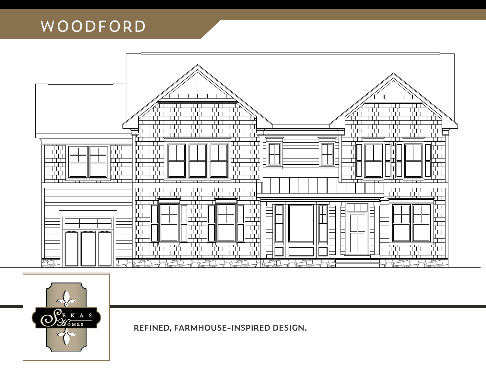



**REFINED, FARMHOUSE-INSPIRED DESIGN.**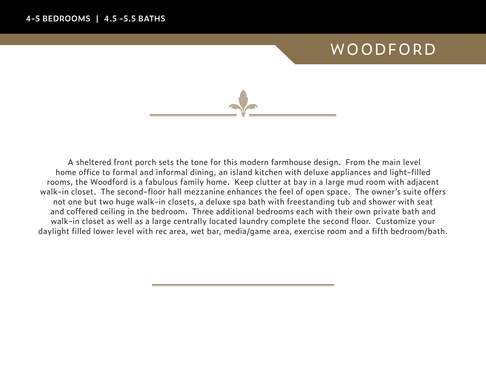

A sheltered front porch sets the tone for this modern farmhouse design. From the main level home office to formal and informal dining, an island kitchen with deluxe appliances and light-filled rooms, the Woodford is a fabulous family home. Keep clutter at bay in a large mud room with adjacent walk-in closet. The second-floor hall mezzanine enhances the feel of open space. The owner's suite offers not one but two huge walk-in closets, a deluxe spa bath with freestanding tub and shower with seat and coffered ceiling in the bedroom. Three additional bedrooms each with their own private bath and walk-in closet as well as a large centrally located laundry complete the second floor. Customize your daylight filled lower level with rec area, wet bar, media/game area, exercise room and a fifth bedroom/bath.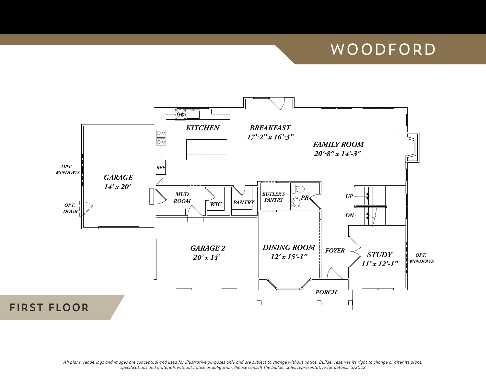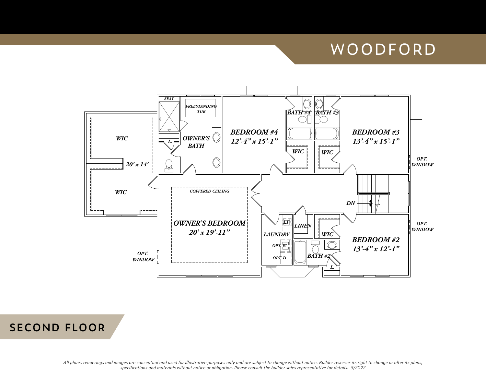



*All plans, renderings and images are conceptual and used for illustrative purposes only and are subject to change without notice. Builder reserves its right to change or alter its plans, specifications and materials without notice or obligation. Please consult the builder sales representative for details. 5/2022*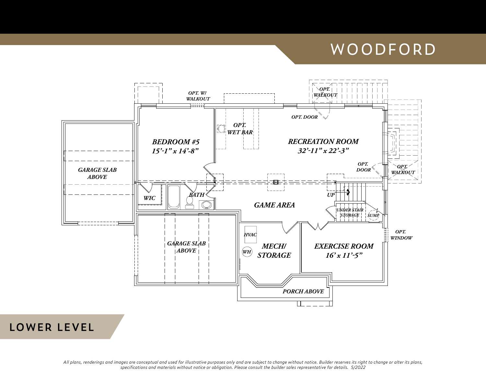

#### **LOWER LEVEL**

*All plans, renderings and images are conceptual and used for illustrative purposes only and are subject to change without notice. Builder reserves its right to change or alter its plans, specifications and materials without notice or obligation. Please consult the builder sales representative for details. 5/2022*